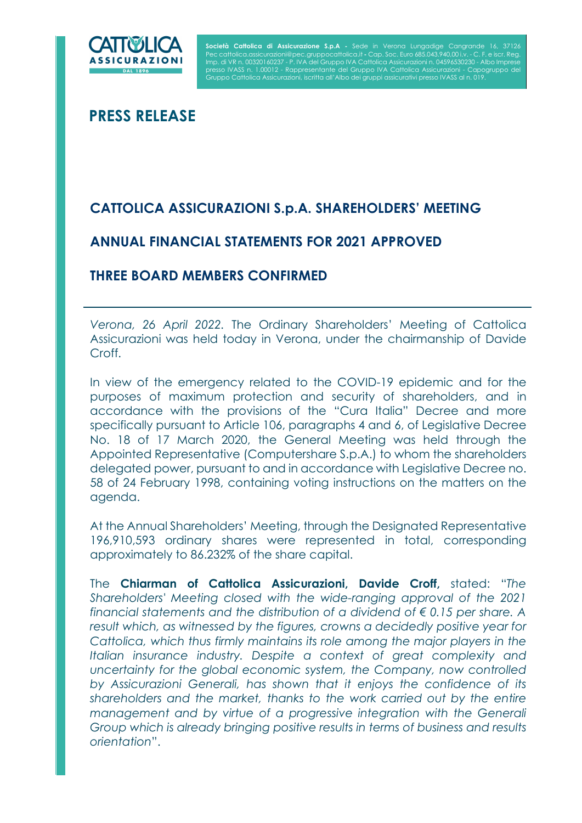

I

**Società Cattolica di Assicurazione S.p.A -** Sede in Verona Lungadige Cangrande 16, 37126<br>Pec cattolica.assicurazioni@pec.gruppocattolica.it - Cap. Soc. Euro 685.043.940,00 i.v. - C. F. e iscr. Reg. Imp. di VR n. 00320160237 - P. IVA del Gruppo IVA Cattolica Assicurazioni n. 04596530230 - Albo Imprese presso IVASS n. 1.00012 - Rappresentante del Gruppo IVA Cattolica Assicurazioni - Capogruppo del Gruppo Cattolica Assicurazioni, iscritta all'Albo dei gruppi assicurativi presso IVASS al n. 019.

PRESS RELEASE

# CATTOLICA ASSICURAZIONI S.p.A. SHAREHOLDERS' MEETING

## ANNUAL FINANCIAL STATEMENTS FOR 2021 APPROVED

## THREE BOARD MEMBERS CONFIRMED

Verona, 26 April 2022. The Ordinary Shareholders' Meeting of Cattolica Assicurazioni was held today in Verona, under the chairmanship of Davide Croff.

In view of the emergency related to the COVID-19 epidemic and for the purposes of maximum protection and security of shareholders, and in accordance with the provisions of the "Cura Italia" Decree and more specifically pursuant to Article 106, paragraphs 4 and 6, of Legislative Decree No. 18 of 17 March 2020, the General Meeting was held through the Appointed Representative (Computershare S.p.A.) to whom the shareholders delegated power, pursuant to and in accordance with Legislative Decree no. 58 of 24 February 1998, containing voting instructions on the matters on the agenda.

At the Annual Shareholders' Meeting, through the Designated Representative 196,910,593 ordinary shares were represented in total, corresponding approximately to 86.232% of the share capital.

The Chiarman of Cattolica Assicurazioni, Davide Croff, stated: "The Shareholders' Meeting closed with the wide-ranging approval of the 2021 financial statements and the distribution of a dividend of  $\epsilon$  0.15 per share. A result which, as witnessed by the figures, crowns a decidedly positive year for Cattolica, which thus firmly maintains its role among the major players in the Italian insurance industry. Despite a context of great complexity and uncertainty for the global economic system, the Company, now controlled by Assicurazioni Generali, has shown that it enjoys the confidence of its shareholders and the market, thanks to the work carried out by the entire management and by virtue of a progressive integration with the Generali Group which is already bringing positive results in terms of business and results orientation".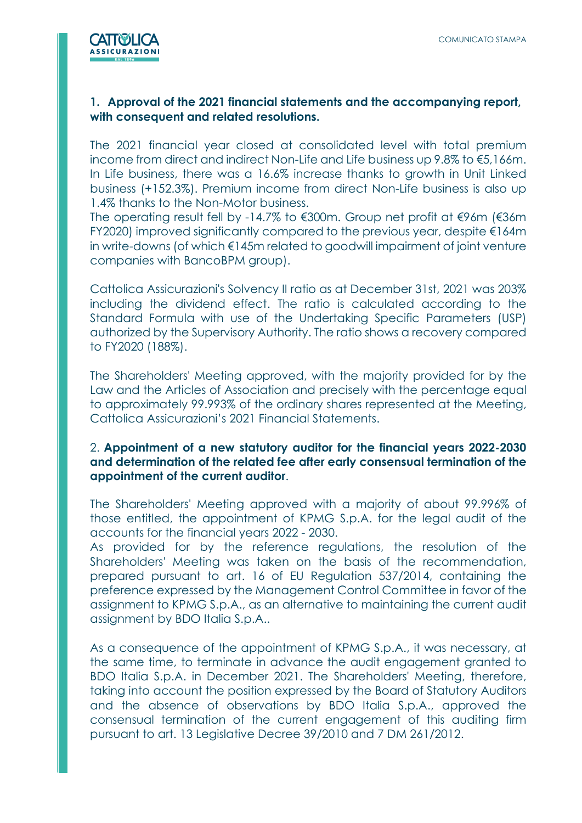

### 1. Approval of the 2021 financial statements and the accompanying report, with consequent and related resolutions.

The 2021 financial year closed at consolidated level with total premium income from direct and indirect Non-Life and Life business up 9.8% to €5,166m. In Life business, there was a 16.6% increase thanks to growth in Unit Linked business (+152.3%). Premium income from direct Non-Life business is also up 1.4% thanks to the Non-Motor business.

The operating result fell by -14.7% to €300m. Group net profit at €96m (€36m FY2020) improved significantly compared to the previous year, despite €164m in write-downs (of which €145m related to goodwill impairment of joint venture companies with BancoBPM group).

Cattolica Assicurazioni's Solvency II ratio as at December 31st, 2021 was 203% including the dividend effect. The ratio is calculated according to the Standard Formula with use of the Undertaking Specific Parameters (USP) authorized by the Supervisory Authority. The ratio shows a recovery compared to FY2020 (188%).

The Shareholders' Meeting approved, with the majority provided for by the Law and the Articles of Association and precisely with the percentage equal to approximately 99.993% of the ordinary shares represented at the Meeting, Cattolica Assicurazioni's 2021 Financial Statements.

### 2. Appointment of a new statutory auditor for the financial years 2022-2030 and determination of the related fee after early consensual termination of the appointment of the current auditor.

The Shareholders' Meeting approved with a majority of about 99.996% of those entitled, the appointment of KPMG S.p.A. for the legal audit of the accounts for the financial years 2022 - 2030.

As provided for by the reference regulations, the resolution of the Shareholders' Meeting was taken on the basis of the recommendation, prepared pursuant to art. 16 of EU Regulation 537/2014, containing the preference expressed by the Management Control Committee in favor of the assignment to KPMG S.p.A., as an alternative to maintaining the current audit assignment by BDO Italia S.p.A..

As a consequence of the appointment of KPMG S.p.A., it was necessary, at the same time, to terminate in advance the audit engagement granted to BDO Italia S.p.A. in December 2021. The Shareholders' Meeting, therefore, taking into account the position expressed by the Board of Statutory Auditors and the absence of observations by BDO Italia S.p.A., approved the consensual termination of the current engagement of this auditing firm pursuant to art. 13 Legislative Decree 39/2010 and 7 DM 261/2012.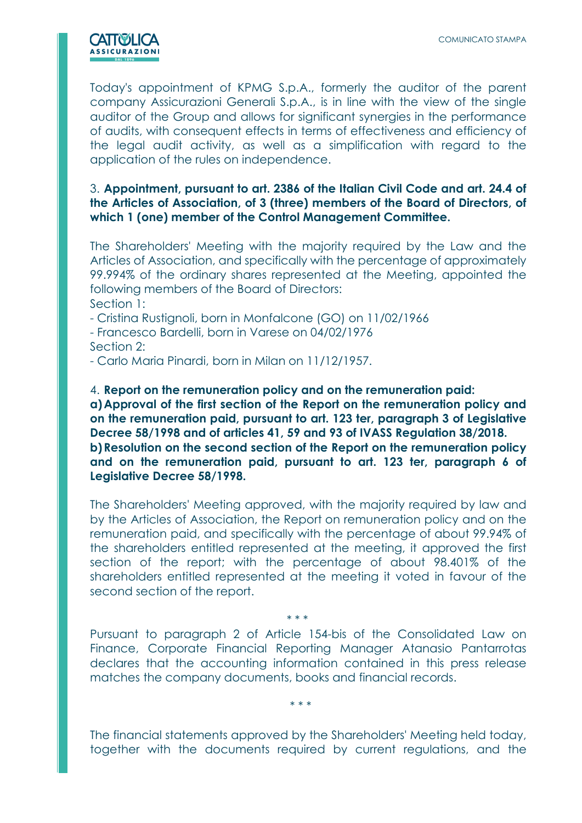

Today's appointment of KPMG S.p.A., formerly the auditor of the parent company Assicurazioni Generali S.p.A., is in line with the view of the single auditor of the Group and allows for significant synergies in the performance of audits, with consequent effects in terms of effectiveness and efficiency of the legal audit activity, as well as a simplification with regard to the application of the rules on independence.

#### 3. Appointment, pursuant to art. 2386 of the Italian Civil Code and art. 24.4 of the Articles of Association, of 3 (three) members of the Board of Directors, of which 1 (one) member of the Control Management Committee.

The Shareholders' Meeting with the majority required by the Law and the Articles of Association, and specifically with the percentage of approximately 99.994% of the ordinary shares represented at the Meeting, appointed the following members of the Board of Directors: Section 1:

- Cristina Rustignoli, born in Monfalcone (GO) on 11/02/1966

- Francesco Bardelli, born in Varese on 04/02/1976 Section 2:

- Carlo Maria Pinardi, born in Milan on 11/12/1957.

4. Report on the remuneration policy and on the remuneration paid: a) Approval of the first section of the Report on the remuneration policy and on the remuneration paid, pursuant to art. 123 ter, paragraph 3 of Legislative Decree 58/1998 and of articles 41, 59 and 93 of IVASS Regulation 38/2018. b) Resolution on the second section of the Report on the remuneration policy and on the remuneration paid, pursuant to art. 123 ter, paragraph 6 of Legislative Decree 58/1998.

The Shareholders' Meeting approved, with the majority required by law and by the Articles of Association, the Report on remuneration policy and on the remuneration paid, and specifically with the percentage of about 99.94% of the shareholders entitled represented at the meeting, it approved the first section of the report; with the percentage of about 98.401% of the shareholders entitled represented at the meeting it voted in favour of the second section of the report.

\* \* \*

Pursuant to paragraph 2 of Article 154-bis of the Consolidated Law on Finance, Corporate Financial Reporting Manager Atanasio Pantarrotas declares that the accounting information contained in this press release matches the company documents, books and financial records.

\* \* \*

The financial statements approved by the Shareholders' Meeting held today, together with the documents required by current regulations, and the